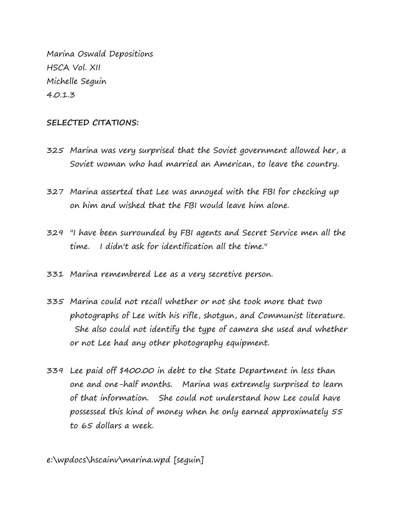Marina Oswald Depositions HSCA Vol. XII Michelle Seguin 4.0.1.3

## **SELECTED CITATIONS:**

- 325 Marina was very surprised that the Soviet government allowed her, a Soviet woman who had married an American, to leave the country.
- 327 Marina asserted that Lee was annoyed with the FBI for checking up on him and wished that the FBI would leave him alone.
- 329 "I have been surrounded by FBI agents and Secret Service men all the time. I didn't ask for identification all the time."
- 331 Marina remembered Lee as a very secretive person.
- 335 Marina could not recall whether or not she took more that two photographs of Lee with his rifle, shotgun, and Communist literature. She also could not identify the type of camera she used and whether or not Lee had any other photography equipment.
- 339 Lee paid off \$400.00 in debt to the State Department in less than one and one-half months. Marina was extremely surprised to learn of that information. She could not understand how Lee could have possessed this kind of money when he only earned approximately 55 to 65 dollars a week.

e:\wpdocs\hscainv\marina.wpd [seguin]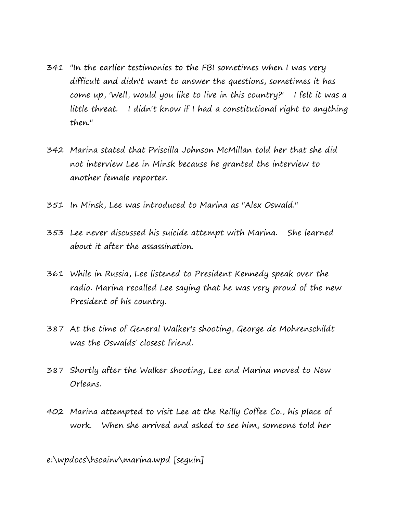- 341 "In the earlier testimonies to the FBI sometimes when I was very difficult and didn't want to answer the questions, sometimes it has come up, 'Well, would you like to live in this country?' I felt it was a little threat. I didn't know if I had a constitutional right to anything then."
- 342 Marina stated that Priscilla Johnson McMillan told her that she did not interview Lee in Minsk because he granted the interview to another female reporter.
- 351 In Minsk, Lee was introduced to Marina as "Alex Oswald."
- 353 Lee never discussed his suicide attempt with Marina. She learned about it after the assassination.
- 361 While in Russia, Lee listened to President Kennedy speak over the radio. Marina recalled Lee saying that he was very proud of the new President of his country.
- 387 At the time of General Walker's shooting, George de Mohrenschildt was the Oswalds' closest friend.
- 387 Shortly after the Walker shooting, Lee and Marina moved to New Orleans.
- 402 Marina attempted to visit Lee at the Reilly Coffee Co., his place of work. When she arrived and asked to see him, someone told her

e:\wpdocs\hscainv\marina.wpd [seguin]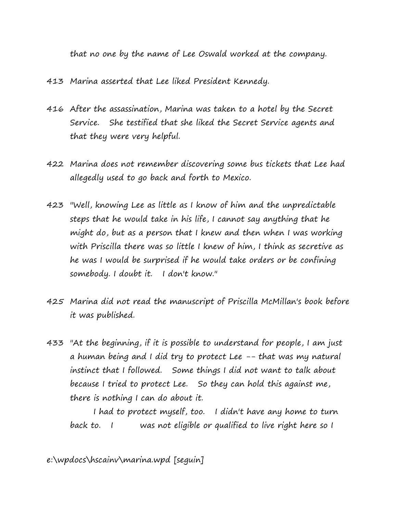that no one by the name of Lee Oswald worked at the company.

- 413 Marina asserted that Lee liked President Kennedy.
- 416 After the assassination, Marina was taken to a hotel by the Secret Service. She testified that she liked the Secret Service agents and that they were very helpful.
- 422 Marina does not remember discovering some bus tickets that Lee had allegedly used to go back and forth to Mexico.
- 423 "Well, knowing Lee as little as I know of him and the unpredictable steps that he would take in his life, I cannot say anything that he might do, but as a person that I knew and then when I was working with Priscilla there was so little I knew of him, I think as secretive as he was I would be surprised if he would take orders or be confining somebody. I doubt it. I don't know."
- 425 Marina did not read the manuscript of Priscilla McMillan's book before it was published.
- 433 "At the beginning, if it is possible to understand for people, I am just a human being and I did try to protect Lee -- that was my natural instinct that I followed. Some things I did not want to talk about because I tried to protect Lee. So they can hold this against me, there is nothing I can do about it.

I had to protect myself, too. I didn't have any home to turn back to. I was not eligible or qualified to live right here so I

e:\wpdocs\hscainv\marina.wpd [seguin]